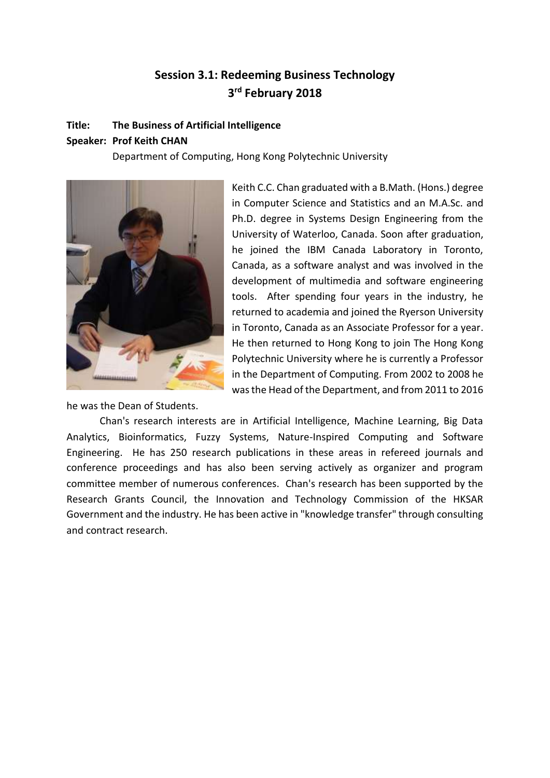# **Session 3.1: Redeeming Business Technology 3 rd February 2018**

#### **Title: The Business of Artificial Intelligence**

## **Speaker: Prof Keith CHAN**

Department of Computing, Hong Kong Polytechnic University



he was the Dean of Students.

Keith C.C. Chan graduated with a B.Math. (Hons.) degree in Computer Science and Statistics and an M.A.Sc. and Ph.D. degree in Systems Design Engineering from the University of Waterloo, Canada. Soon after graduation, he joined the IBM Canada Laboratory in Toronto, Canada, as a software analyst and was involved in the development of multimedia and software engineering tools. After spending four years in the industry, he returned to academia and joined the Ryerson University in Toronto, Canada as an Associate Professor for a year. He then returned to Hong Kong to join The Hong Kong Polytechnic University where he is currently a Professor in the Department of Computing. From 2002 to 2008 he was the Head of the Department, and from 2011 to 2016

Chan's research interests are in Artificial Intelligence, Machine Learning, Big Data Analytics, Bioinformatics, Fuzzy Systems, Nature-Inspired Computing and Software Engineering. He has 250 research publications in these areas in refereed journals and conference proceedings and has also been serving actively as organizer and program committee member of numerous conferences. Chan's research has been supported by the Research Grants Council, the Innovation and Technology Commission of the HKSAR Government and the industry. He has been active in "knowledge transfer" through consulting and contract research.